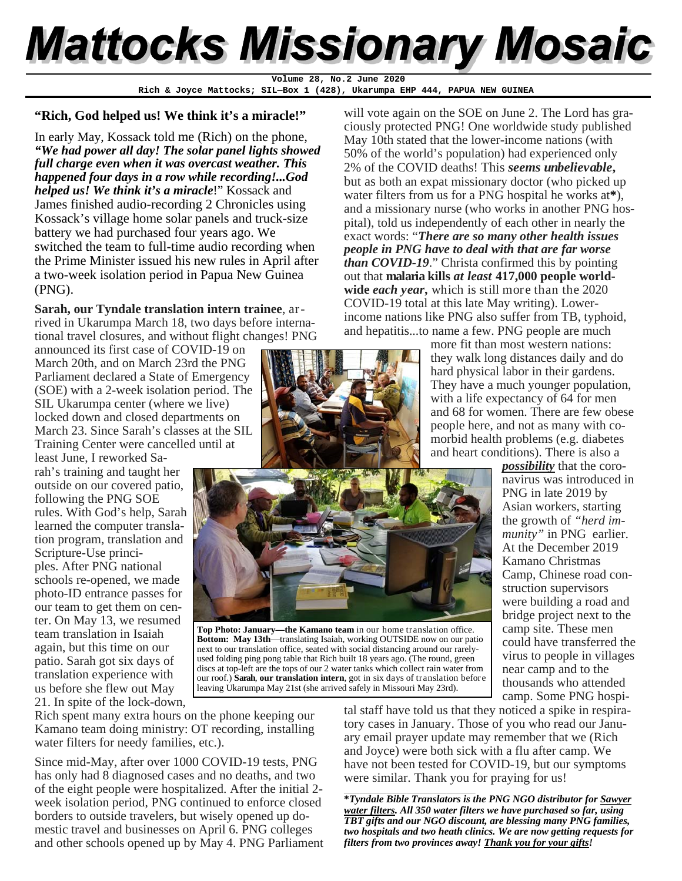# **Mattocks Missionary Mosaic**

**Rich & Joyce Mattocks; SIL—Box 1 (428), Ukarumpa EHP 444, PAPUA NEW GUINEA Volume 28, No.2 June 2020** 

#### **"Rich, God helped us! We think it's a miracle!"**

In early May, Kossack told me (Rich) on the phone, *"We had power all day! The solar panel lights showed full charge even when it was overcast weather. This happened four days in a row while recording!...God helped us! We think it's a miracle*!" Kossack and James finished audio-recording 2 Chronicles using Kossack's village home solar panels and truck-size battery we had purchased four years ago. We switched the team to full-time audio recording when the Prime Minister issued his new rules in April after a two-week isolation period in Papua New Guinea (PNG).

**Sarah, our Tyndale translation intern trainee**, arrived in Ukarumpa March 18, two days before international travel closures, and without flight changes! PNG

announced its first case of COVID-19 on March 20th, and on March 23rd the PNG Parliament declared a State of Emergency (SOE) with a 2-week isolation period. The SIL Ukarumpa center (where we live) locked down and closed departments on March 23. Since Sarah's classes at the SIL Training Center were cancelled until at

least June, I reworked Sarah's training and taught her outside on our covered patio, following the PNG SOE rules. With God's help, Sarah learned the computer translation program, translation and Scripture-Use principles. After PNG national schools re-opened, we made photo-ID entrance passes for our team to get them on center. On May 13, we resumed team translation in Isaiah again, but this time on our patio. Sarah got six days of translation experience with us before she flew out May 21. In spite of the lock-down,



will vote again on the SOE on June 2. The Lord has graciously protected PNG! One worldwide study published May 10th stated that the lower-income nations (with 50% of the world's population) had experienced only 2% of the COVID deaths! This *seems unbelievable***,**  but as both an expat missionary doctor (who picked up water filters from us for a PNG hospital he works at**\***), and a missionary nurse (who works in another PNG hospital), told us independently of each other in nearly the exact words: "*There are so many other health issues people in PNG have to deal with that are far worse than COVID-19*." Christa confirmed this by pointing out that **malaria kills** *at least* **417,000 people worldwide** *each year,* which is still more than the 2020 COVID-19 total at this late May writing). Lowerincome nations like PNG also suffer from TB, typhoid, and hepatitis...to name a few. PNG people are much

> more fit than most western nations: they walk long distances daily and do hard physical labor in their gardens. They have a much younger population, with a life expectancy of 64 for men and 68 for women. There are few obese people here, and not as many with comorbid health problems (e.g. diabetes and heart conditions). There is also a



**Top Photo: January—the Kamano team** in our home translation office. **Bottom: May 13th**—translating Isaiah, working OUTSIDE now on our patio next to our translation office, seated with social distancing around our rarelyused folding ping pong table that Rich built 18 years ago. (The round, green discs at top-left are the tops of our 2 water tanks which collect rain water from our roof.) **Sarah**, **our translation intern**, got in six days of translation before leaving Ukarumpa May 21st (she arrived safely in Missouri May 23rd).

navirus was introduced in PNG in late 2019 by Asian workers, starting the growth of *"herd immunity"* in PNG earlier. At the December 2019 Kamano Christmas Camp, Chinese road construction supervisors were building a road and bridge project next to the camp site. These men could have transferred the virus to people in villages near camp and to the thousands who attended camp. Some PNG hospi-

*possibility* that the coro-

Rich spent many extra hours on the phone keeping our Kamano team doing ministry: OT recording, installing water filters for needy families, etc.).

Since mid-May, after over 1000 COVID-19 tests, PNG has only had 8 diagnosed cases and no deaths, and two of the eight people were hospitalized. After the initial 2 week isolation period, PNG continued to enforce closed borders to outside travelers, but wisely opened up domestic travel and businesses on April 6. PNG colleges and other schools opened up by May 4. PNG Parliament tal staff have told us that they noticed a spike in respiratory cases in January. Those of you who read our January email prayer update may remember that we (Rich and Joyce) were both sick with a flu after camp. We have not been tested for COVID-19, but our symptoms were similar. Thank you for praying for us!

\_\_\_\_\_\_\_\_\_\_\_\_\_\_\_\_\_\_\_\_\_\_\_\_\_\_\_\_\_\_\_\_\_\_\_\_\_\_\_\_\_\_\_\_\_\_\_\_\_\_\_\_\_\_\_\_\_\_\_ **\****Tyndale Bible Translators is the PNG NGO distributor for Sawyer water filters. All 350 water filters we have purchased so far, using TBT gifts and our NGO discount, are blessing many PNG families, two hospitals and two heath clinics. We are now getting requests for filters from two provinces away! Thank you for your gifts!*